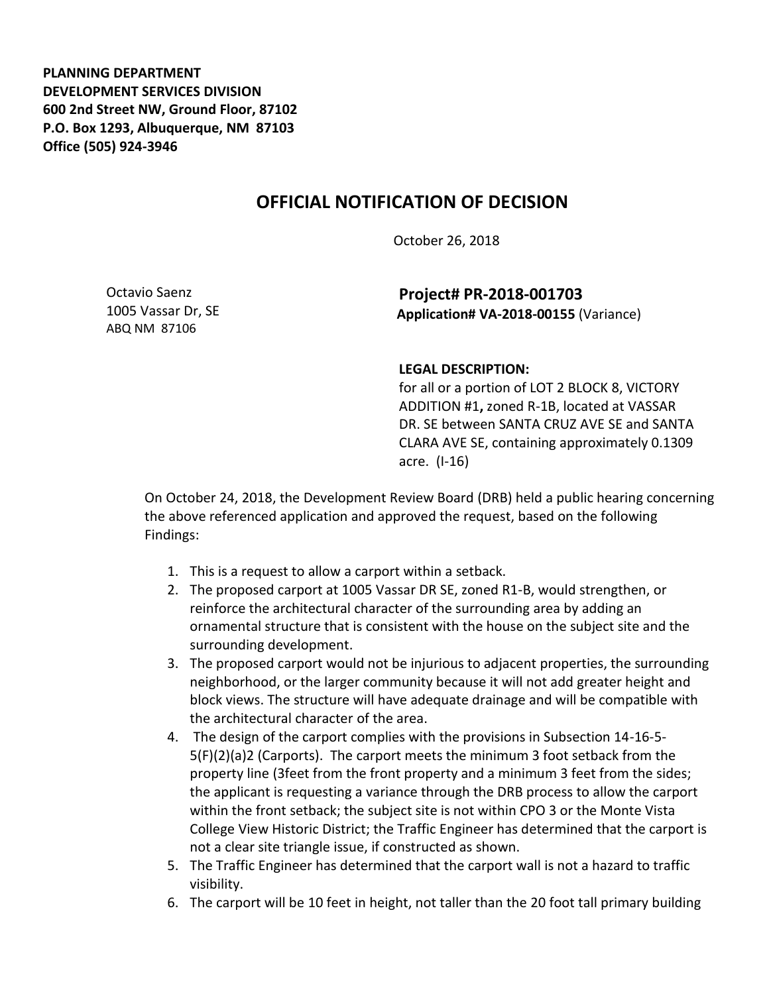**PLANNING DEPARTMENT DEVELOPMENT SERVICES DIVISION 600 2nd Street NW, Ground Floor, 87102 P.O. Box 1293, Albuquerque, NM 87103 Office (505) 924-3946** 

## **OFFICIAL NOTIFICATION OF DECISION**

October 26, 2018

Octavio Saenz 1005 Vassar Dr, SE ABQ NM 87106

**Project# PR-2018-001703 Application# VA-2018-00155** (Variance)

## **LEGAL DESCRIPTION:**

for all or a portion of LOT 2 BLOCK 8, VICTORY ADDITION #1**,** zoned R-1B, located at VASSAR DR. SE between SANTA CRUZ AVE SE and SANTA CLARA AVE SE, containing approximately 0.1309 acre. (I-16)

On October 24, 2018, the Development Review Board (DRB) held a public hearing concerning the above referenced application and approved the request, based on the following Findings:

- 1. This is a request to allow a carport within a setback.
- 2. The proposed carport at 1005 Vassar DR SE, zoned R1-B, would strengthen, or reinforce the architectural character of the surrounding area by adding an ornamental structure that is consistent with the house on the subject site and the surrounding development.
- 3. The proposed carport would not be injurious to adjacent properties, the surrounding neighborhood, or the larger community because it will not add greater height and block views. The structure will have adequate drainage and will be compatible with the architectural character of the area.
- 4. The design of the carport complies with the provisions in Subsection 14-16-5- 5(F)(2)(a)2 (Carports). The carport meets the minimum 3 foot setback from the property line (3feet from the front property and a minimum 3 feet from the sides; the applicant is requesting a variance through the DRB process to allow the carport within the front setback; the subject site is not within CPO 3 or the Monte Vista College View Historic District; the Traffic Engineer has determined that the carport is not a clear site triangle issue, if constructed as shown.
- 5. The Traffic Engineer has determined that the carport wall is not a hazard to traffic visibility.
- 6. The carport will be 10 feet in height, not taller than the 20 foot tall primary building